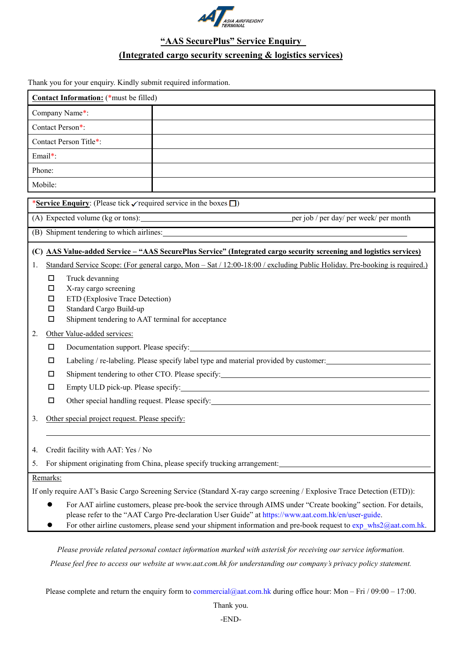

## **"AAS SecurePlus" Service Enquiry (Integrated cargo security screening & logistics services)**

Thank you for your enquiry. Kindly submit required information.

| Contact Information: (*must be filled)                                                                                                                                                                                  |                                                                                                                         |  |  |  |
|-------------------------------------------------------------------------------------------------------------------------------------------------------------------------------------------------------------------------|-------------------------------------------------------------------------------------------------------------------------|--|--|--|
| Company Name*:                                                                                                                                                                                                          |                                                                                                                         |  |  |  |
| Contact Person*:                                                                                                                                                                                                        |                                                                                                                         |  |  |  |
| Contact Person Title*:                                                                                                                                                                                                  |                                                                                                                         |  |  |  |
| Email*:                                                                                                                                                                                                                 |                                                                                                                         |  |  |  |
| Phone:                                                                                                                                                                                                                  |                                                                                                                         |  |  |  |
| Mobile:                                                                                                                                                                                                                 |                                                                                                                         |  |  |  |
| *Service Enquiry: (Please tick $\checkmark$ required service in the boxes $\Box$ )                                                                                                                                      |                                                                                                                         |  |  |  |
| per job / per day/ per week/ per month<br>(A) Expected volume (kg or tons):                                                                                                                                             |                                                                                                                         |  |  |  |
| (B) Shipment tendering to which airlines:                                                                                                                                                                               |                                                                                                                         |  |  |  |
|                                                                                                                                                                                                                         |                                                                                                                         |  |  |  |
| (C) AAS Value-added Service - "AAS SecurePlus Service" (Integrated cargo security screening and logistics services)                                                                                                     |                                                                                                                         |  |  |  |
| Standard Service Scope: (For general cargo, Mon – Sat / 12:00-18:00 / excluding Public Holiday. Pre-booking is required.)<br>1.                                                                                         |                                                                                                                         |  |  |  |
| $\Box$                                                                                                                                                                                                                  | Truck devanning                                                                                                         |  |  |  |
|                                                                                                                                                                                                                         | X-ray cargo screening<br>□                                                                                              |  |  |  |
|                                                                                                                                                                                                                         | ETD (Explosive Trace Detection)<br>□<br>Standard Cargo Build-up<br>$\Box$                                               |  |  |  |
| □                                                                                                                                                                                                                       | Shipment tendering to AAT terminal for acceptance                                                                       |  |  |  |
| 2.                                                                                                                                                                                                                      | Other Value-added services:                                                                                             |  |  |  |
|                                                                                                                                                                                                                         | Documentation support. Please specify:<br>□<br><u> 1989 - Johann John Stein, mars an deus Amerikaansk kommunister (</u> |  |  |  |
| $\Box$                                                                                                                                                                                                                  | Labeling / re-labeling. Please specify label type and material provided by customer:                                    |  |  |  |
| □                                                                                                                                                                                                                       |                                                                                                                         |  |  |  |
| $\Box$                                                                                                                                                                                                                  |                                                                                                                         |  |  |  |
| $\Box$                                                                                                                                                                                                                  |                                                                                                                         |  |  |  |
| 3.                                                                                                                                                                                                                      | Other special project request. Please specify:                                                                          |  |  |  |
|                                                                                                                                                                                                                         |                                                                                                                         |  |  |  |
| Credit facility with AAT: Yes / No<br>4.                                                                                                                                                                                |                                                                                                                         |  |  |  |
| 5.                                                                                                                                                                                                                      | For shipment originating from China, please specify trucking arrangement:                                               |  |  |  |
| Remarks:                                                                                                                                                                                                                |                                                                                                                         |  |  |  |
| If only require AAT's Basic Cargo Screening Service (Standard X-ray cargo screening / Explosive Trace Detection (ETD)):                                                                                                 |                                                                                                                         |  |  |  |
|                                                                                                                                                                                                                         |                                                                                                                         |  |  |  |
| For AAT airline customers, please pre-book the service through AIMS under "Create booking" section. For details,<br>please refer to the "AAT Cargo Pre-declaration User Guide" at https://www.aat.com.hk/en/user-guide. |                                                                                                                         |  |  |  |
| For other airline customers, please send your shipment information and pre-book request to $exp$ whs $2$ @aat.com.hk.                                                                                                   |                                                                                                                         |  |  |  |
|                                                                                                                                                                                                                         |                                                                                                                         |  |  |  |

*Please provide related personal contact information marked with asterisk for receiving our service information.* 

*Please feel free to access our website at www.aat.com.hk for understanding our company's privacy policy statement.*

Please complete and return the enquiry form to [commercial@aat.com.hk](mailto:commercial@aat.com.hk) during office hour: Mon – Fri / 09:00 – 17:00.

Thank you.

-END-